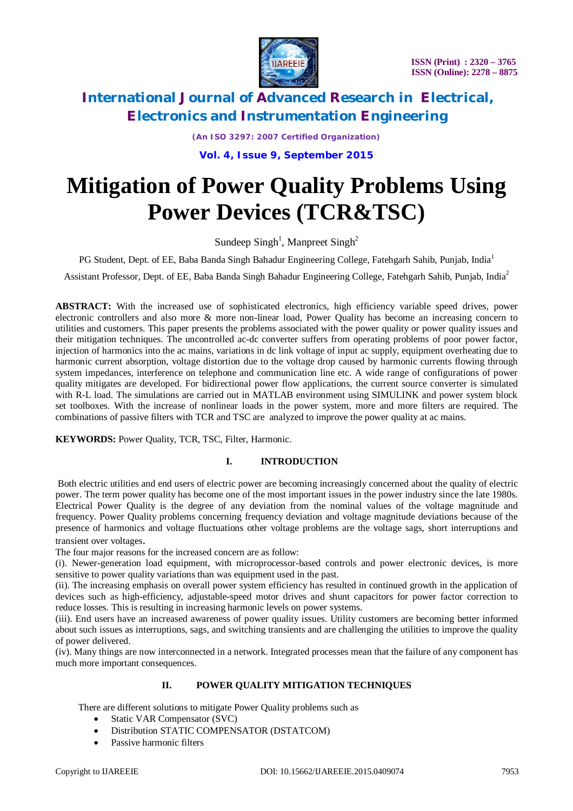

*(An ISO 3297: 2007 Certified Organization)* **Vol. 4, Issue 9, September 2015**

# **Mitigation of Power Quality Problems Using Power Devices (TCR&TSC)**

Sundeep Singh<sup>1</sup>, Manpreet Singh<sup>2</sup>

PG Student, Dept. of EE, Baba Banda Singh Bahadur Engineering College, Fatehgarh Sahib, Punjab, India<sup>1</sup>

Assistant Professor, Dept. of EE, Baba Banda Singh Bahadur Engineering College, Fatehgarh Sahib, Punjab, India<sup>2</sup>

**ABSTRACT:** With the increased use of sophisticated electronics, high efficiency variable speed drives, power electronic controllers and also more & more non-linear load, Power Quality has become an increasing concern to utilities and customers. This paper presents the problems associated with the power quality or power quality issues and their mitigation techniques. The uncontrolled ac-dc converter suffers from operating problems of poor power factor, injection of harmonics into the ac mains, variations in dc link voltage of input ac supply, equipment overheating due to harmonic current absorption, voltage distortion due to the voltage drop caused by harmonic currents flowing through system impedances, interference on telephone and communication line etc. A wide range of configurations of power quality mitigates are developed. For bidirectional power flow applications, the current source converter is simulated with R-L load. The simulations are carried out in MATLAB environment using SIMULINK and power system block set toolboxes. With the increase of nonlinear loads in the power system, more and more filters are required. The combinations of passive filters with TCR and TSC are analyzed to improve the power quality at ac mains.

**KEYWORDS:** Power Quality, TCR, TSC, Filter, Harmonic.

#### **I. INTRODUCTION**

Both electric utilities and end users of electric power are becoming increasingly concerned about the quality of electric power. The term power quality has become one of the most important issues in the power industry since the late 1980s. Electrical Power Quality is the degree of any deviation from the nominal values of the voltage magnitude and frequency. Power Quality problems concerning frequency deviation and voltage magnitude deviations because of the presence of harmonics and voltage fluctuations other voltage problems are the voltage sags, short interruptions and transient over voltages.

The four major reasons for the increased concern are as follow:

(i). Newer-generation load equipment, with microprocessor-based controls and power electronic devices, is more sensitive to power quality variations than was equipment used in the past.

(ii). The increasing emphasis on overall power system efficiency has resulted in continued growth in the application of devices such as high-efficiency, adjustable-speed motor drives and shunt capacitors for power factor correction to reduce losses. This is resulting in increasing harmonic levels on power systems.

(iii). End users have an increased awareness of power quality issues. Utility customers are becoming better informed about such issues as interruptions, sags, and switching transients and are challenging the utilities to improve the quality of power delivered.

(iv). Many things are now interconnected in a network. Integrated processes mean that the failure of any component has much more important consequences.

### **II. POWER QUALITY MITIGATION TECHNIQUES**

There are different solutions to mitigate Power Quality problems such as

- Static VAR Compensator (SVC)
- Distribution STATIC COMPENSATOR (DSTATCOM)
- Passive harmonic filters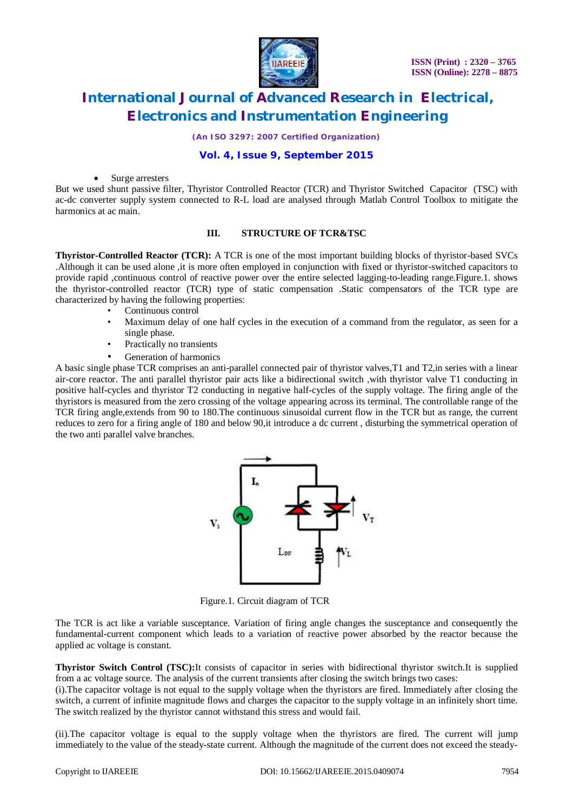

*(An ISO 3297: 2007 Certified Organization)*

#### **Vol. 4, Issue 9, September 2015**

Surge arresters

But we used shunt passive filter, Thyristor Controlled Reactor (TCR) and Thyristor Switched Capacitor (TSC) with ac-dc converter supply system connected to R-L load are analysed through Matlab Control Toolbox to mitigate the harmonics at ac main.

#### **III. STRUCTURE OF TCR&TSC**

**Thyristor-Controlled Reactor (TCR):** A TCR is one of the most important building blocks of thyristor-based SVCs .Although it can be used alone ,it is more often employed in conjunction with fixed or thyristor-switched capacitors to provide rapid ,continuous control of reactive power over the entire selected lagging-to-leading range.Figure.1. shows the thyristor-controlled reactor (TCR) type of static compensation .Static compensators of the TCR type are characterized by having the following properties:

- Continuous control
- Maximum delay of one half cycles in the execution of a command from the regulator, as seen for a single phase.
- Practically no transients
- Generation of harmonics

A basic single phase TCR comprises an anti-parallel connected pair of thyristor valves,T1 and T2,in series with a linear air-core reactor. The anti parallel thyristor pair acts like a bidirectional switch ,with thyristor valve T1 conducting in positive half-cycles and thyristor T2 conducting in negative half-cycles of the supply voltage. The firing angle of the thyristors is measured from the zero crossing of the voltage appearing across its terminal. The controllable range of the TCR firing angle,extends from 90 to 180.The continuous sinusoidal current flow in the TCR but as range, the current reduces to zero for a firing angle of 180 and below 90,it introduce a dc current , disturbing the symmetrical operation of the two anti parallel valve branches.



Figure.1. Circuit diagram of TCR

The TCR is act like a variable susceptance. Variation of firing angle changes the susceptance and consequently the fundamental-current component which leads to a variation of reactive power absorbed by the reactor because the applied ac voltage is constant.

**Thyristor Switch Control (TSC):**It consists of capacitor in series with bidirectional thyristor switch.It is supplied from a ac voltage source. The analysis of the current transients after closing the switch brings two cases:

(i).The capacitor voltage is not equal to the supply voltage when the thyristors are fired. Immediately after closing the switch, a current of infinite magnitude flows and charges the capacitor to the supply voltage in an infinitely short time. The switch realized by the thyristor cannot withstand this stress and would fail.

(ii).The capacitor voltage is equal to the supply voltage when the thyristors are fired. The current will jump immediately to the value of the steady-state current. Although the magnitude of the current does not exceed the steady-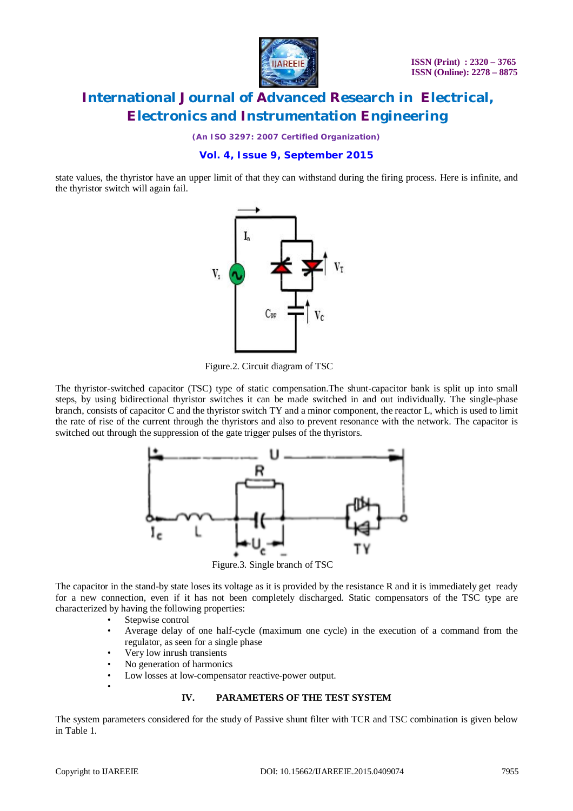

*(An ISO 3297: 2007 Certified Organization)*

### **Vol. 4, Issue 9, September 2015**

state values, the thyristor have an upper limit of that they can withstand during the firing process. Here is infinite, and the thyristor switch will again fail.



Figure.2. Circuit diagram of TSC

The thyristor-switched capacitor (TSC) type of static compensation.The shunt-capacitor bank is split up into small steps, by using bidirectional thyristor switches it can be made switched in and out individually. The single-phase branch, consists of capacitor C and the thyristor switch TY and a minor component, the reactor L, which is used to limit the rate of rise of the current through the thyristors and also to prevent resonance with the network. The capacitor is switched out through the suppression of the gate trigger pulses of the thyristors.



Figure.3. Single branch of TSC

The capacitor in the stand-by state loses its voltage as it is provided by the resistance R and it is immediately get ready for a new connection, even if it has not been completely discharged. Static compensators of the TSC type are characterized by having the following properties:

- Stepwise control
- Average delay of one half-cycle (maximum one cycle) in the execution of a command from the regulator, as seen for a single phase
- Very low inrush transients
- No generation of harmonics
- Low losses at low-compensator reactive-power output.

#### **IV. PARAMETERS OF THE TEST SYSTEM**

The system parameters considered for the study of Passive shunt filter with TCR and TSC combination is given below in Table 1.

•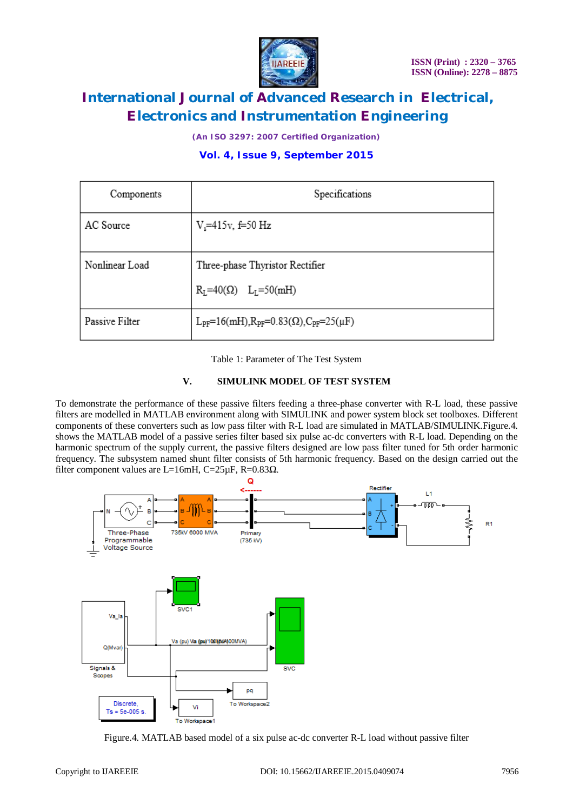

*(An ISO 3297: 2007 Certified Organization)*

### **Vol. 4, Issue 9, September 2015**

| Components     | Specifications                                                  |
|----------------|-----------------------------------------------------------------|
| AC Source      | $V_s = 415v, f = 50 Hz$                                         |
| Nonlinear Load | Three-phase Thyristor Rectifier<br>$R_L = 40(Q)$ $L_L = 50(mH)$ |
| Passive Filter | $L_{PF} = 16(mH), R_{PF} = 0.83(\Omega), C_{PF} = 25(\mu F)$    |
|                |                                                                 |

Table 1: Parameter of The Test System

#### **V. SIMULINK MODEL OF TEST SYSTEM**

To demonstrate the performance of these passive filters feeding a three-phase converter with R-L load, these passive filters are modelled in MATLAB environment along with SIMULINK and power system block set toolboxes. Different components of these converters such as low pass filter with R-L load are simulated in MATLAB/SIMULINK.Figure.4. shows the MATLAB model of a passive series filter based six pulse ac-dc converters with R-L load. Depending on the harmonic spectrum of the supply current, the passive filters designed are low pass filter tuned for 5th order harmonic frequency. The subsystem named shunt filter consists of 5th harmonic frequency. Based on the design carried out the filter component values are L=16mH, C=25 $\mu$ F, R=0.83 $\Omega$ .



Figure.4. MATLAB based model of a six pulse ac-dc converter R-L load without passive filter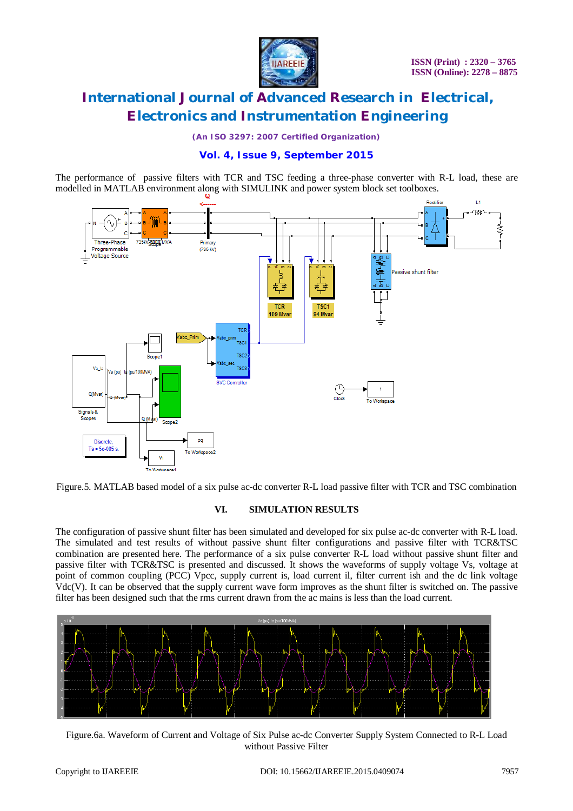

*(An ISO 3297: 2007 Certified Organization)*

### **Vol. 4, Issue 9, September 2015**

The performance of passive filters with TCR and TSC feeding a three-phase converter with R-L load, these are modelled in MATLAB environment along with SIMULINK and power system block set toolboxes.



Figure.5. MATLAB based model of a six pulse ac-dc converter R-L load passive filter with TCR and TSC combination

#### **VI. SIMULATION RESULTS**

The configuration of passive shunt filter has been simulated and developed for six pulse ac-dc converter with R-L load. The simulated and test results of without passive shunt filter configurations and passive filter with TCR&TSC combination are presented here. The performance of a six pulse converter R-L load without passive shunt filter and passive filter with TCR&TSC is presented and discussed. It shows the waveforms of supply voltage Vs, voltage at point of common coupling (PCC) Vpcc, supply current is, load current il, filter current ish and the dc link voltage Vdc(V). It can be observed that the supply current wave form improves as the shunt filter is switched on. The passive filter has been designed such that the rms current drawn from the ac mains is less than the load current.



Figure.6a. Waveform of Current and Voltage of Six Pulse ac-dc Converter Supply System Connected to R-L Load without Passive Filter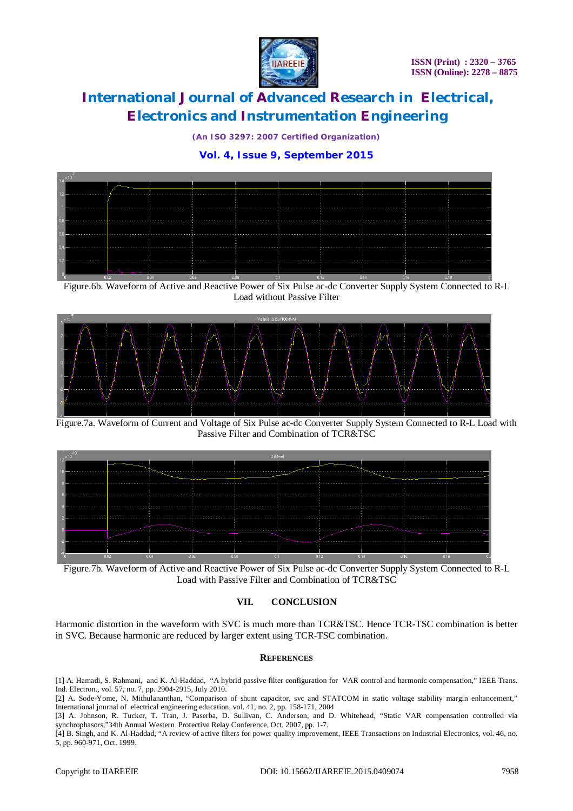

*(An ISO 3297: 2007 Certified Organization)*

### **Vol. 4, Issue 9, September 2015**



Figure.6b. Waveform of Active and Reactive Power of Six Pulse ac-dc Converter Supply System Connected to R-L Load without Passive Filter



Figure.7a. Waveform of Current and Voltage of Six Pulse ac-dc Converter Supply System Connected to R-L Load with Passive Filter and Combination of TCR&TSC



Figure.7b. Waveform of Active and Reactive Power of Six Pulse ac-dc Converter Supply System Connected to R-L Load with Passive Filter and Combination of TCR&TSC

#### **VII. CONCLUSION**

Harmonic distortion in the waveform with SVC is much more than TCR&TSC. Hence TCR-TSC combination is better in SVC. Because harmonic are reduced by larger extent using TCR-TSC combination.

#### **REFERENCES**

[1] A. Hamadi, S. Rahmani, and K. Al-Haddad, "A hybrid passive filter configuration for VAR control and harmonic compensation," IEEE Trans. Ind. Electron., vol. 57, no. 7, pp. 2904-2915, July 2010.

[2] A. Sode-Yome, N. Mithulananthan, "Comparison of shunt capacitor, svc and STATCOM in static voltage stability margin enhancement," International journal of electrical engineering education, vol. 41, no. 2, pp. 158-171, 2004

[3] A. Johnson, R. Tucker, T. Tran, J. Paserba, D. Sullivan, C. Anderson, and D. Whitehead, "Static VAR compensation controlled via synchrophasors,"34th Annual Western Protective Relay Conference, Oct. 2007, pp. 1-7.

[4] B. Singh, and K. Al-Haddad, "A review of active filters for power quality improvement, IEEE Transactions on Industrial Electronics, vol. 46, no. 5, pp. 960-971, Oct. 1999.